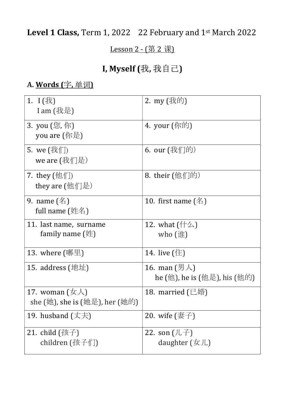# Level 1 Class, Term 1, 2022 22 February and 1<sup>st</sup> March 2022

#### Lesson 2 - (第 2 课)

# I, Myself (我, 我自己)

### A. Words (字, 单词)

| 1. $I$ (我)<br>I am $(E,\pm)$                                                    | 2. my (我的)                                                                        |  |
|---------------------------------------------------------------------------------|-----------------------------------------------------------------------------------|--|
| 3. you (您, 你)<br>you are $(\nparallel \mathbb{R})$                              | 4. your (你的)                                                                      |  |
| 5. we $(\text{我们})$<br>we are $(\text{\frac{1}{2} (我们是)$                        | 6. our (我们的)                                                                      |  |
| 7. they $(\noplus \text{`})$<br>they are $(\nmid \mathcal{H} \mid \mathcal{F})$ | 8. their (他们的)                                                                    |  |
| 9. name $(\mathbb{Z})$<br>full name $(\n#A)$                                    | 10. first name $($ <sup><math>\otimes</math></sup> )                              |  |
| 11. last name, surname<br>family name $(\n#)$                                   | 12. what $(\dagger \Delta)$<br>who $(i#)$                                         |  |
| 13. where $(\mathbb{W}\mathbb{H})$                                              | 14. live $(\pm)$                                                                  |  |
| 15. address $(\pm \pm \pm)$                                                     | 16. man $(\frac{\cancel{E}}{\cancel{A}})$<br>he (他), he is (他是), his (他的)         |  |
| 17. woman $(\not\exists x \lambda)$<br>she (她), she is (她是), her (她的)           | 18. married $(\Xi$ 婚)                                                             |  |
| 19. husband $(\nabla \ddot{\pm})$                                               | 20. wife $(\overline{\mathbf{\mathcal{F}}} \cdot \overline{\mathbf{\mathcal{F}}}$ |  |
| 21. child $($ 孩子)<br>children (孩子们)                                             | 22. son $(L \neq)$<br>daughter $(\nexists \Box)$                                  |  |